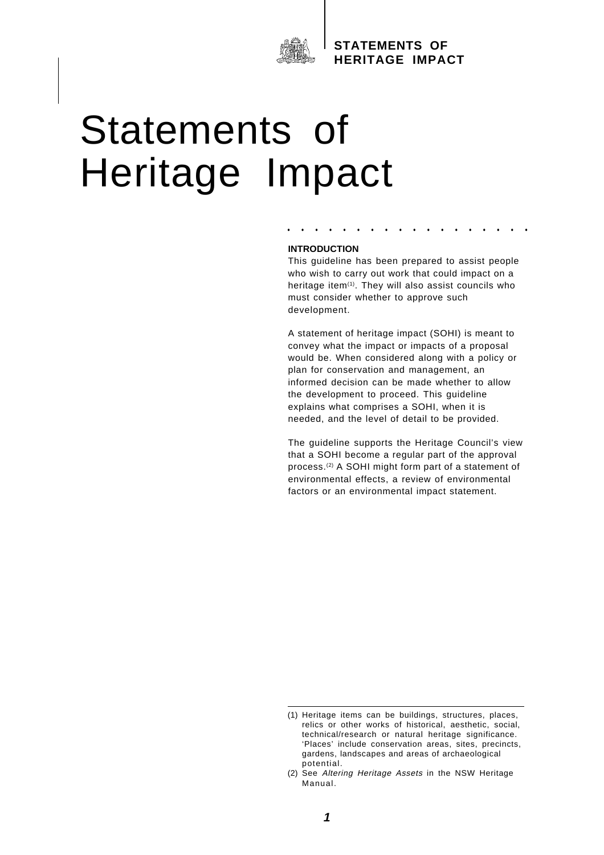

# Statements of Heritage Impact

#### **INTRODUCTION**

This guideline has been prepared to assist people who wish to carry out work that could impact on a heritage item<sup>(1)</sup>. They will also assist councils who must consider whether to approve such development.

**• • • • • • • • • • • • • • • • • •**

A statement of heritage impact (SOHI) is meant to convey what the impact or impacts of a proposal would be. When considered along with a policy or plan for conservation and management, an informed decision can be made whether to allow the development to proceed. This guideline explains what comprises a SOHI, when it is needed, and the level of detail to be provided.

The guideline supports the Heritage Council's view that a SOHI become a regular part of the approval process.(2) A SOHI might form part of a statement of environmental effects, a review of environmental factors or an environmental impact statement.

<sup>(1)</sup> Heritage items can be buildings, structures, places, relics or other works of historical, aesthetic, social, technical/research or natural heritage significance. 'Places' include conservation areas, sites, precincts, gardens, landscapes and areas of archaeological potential.

<sup>(2)</sup> See Altering Heritage Assets in the NSW Heritage Manual.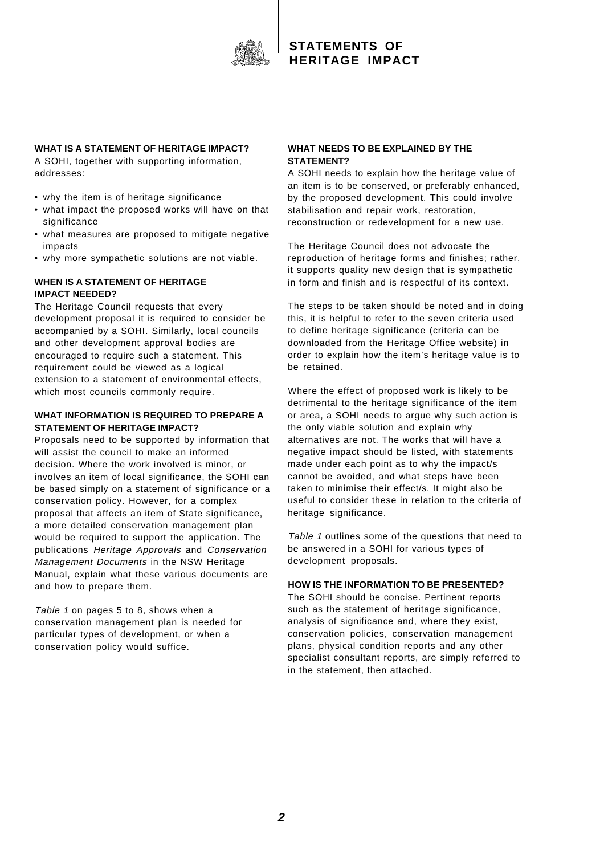

## **WHAT IS A STATEMENT OF HERITAGE IMPACT?**

A SOHI, together with supporting information, addresses:

- why the item is of heritage significance
- what impact the proposed works will have on that significance
- what measures are proposed to mitigate negative impacts
- why more sympathetic solutions are not viable.

#### **WHEN IS A STATEMENT OF HERITAGE IMPACT NEEDED?**

The Heritage Council requests that every development proposal it is required to consider be accompanied by a SOHI. Similarly, local councils and other development approval bodies are encouraged to require such a statement. This requirement could be viewed as a logical extension to a statement of environmental effects, which most councils commonly require.

#### **WHAT INFORMATION IS REQUIRED TO PREPARE A STATEMENT OF HERITAGE IMPACT?**

Proposals need to be supported by information that will assist the council to make an informed decision. Where the work involved is minor, or involves an item of local significance, the SOHI can be based simply on a statement of significance or a conservation policy. However, for a complex proposal that affects an item of State significance, a more detailed conservation management plan would be required to support the application. The publications Heritage Approvals and Conservation Management Documents in the NSW Heritage Manual, explain what these various documents are and how to prepare them.

Table 1 on pages 5 to 8, shows when a conservation management plan is needed for particular types of development, or when a conservation policy would suffice.

#### **WHAT NEEDS TO BE EXPLAINED BY THE STATEMENT?**

A SOHI needs to explain how the heritage value of an item is to be conserved, or preferably enhanced, by the proposed development. This could involve stabilisation and repair work, restoration, reconstruction or redevelopment for a new use.

The Heritage Council does not advocate the reproduction of heritage forms and finishes; rather, it supports quality new design that is sympathetic in form and finish and is respectful of its context.

The steps to be taken should be noted and in doing this, it is helpful to refer to the seven criteria used to define heritage significance (criteria can be downloaded from the Heritage Office website) in order to explain how the item's heritage value is to be retained.

Where the effect of proposed work is likely to be detrimental to the heritage significance of the item or area, a SOHI needs to argue why such action is the only viable solution and explain why alternatives are not. The works that will have a negative impact should be listed, with statements made under each point as to why the impact/s cannot be avoided, and what steps have been taken to minimise their effect/s. It might also be useful to consider these in relation to the criteria of heritage significance.

Table 1 outlines some of the questions that need to be answered in a SOHI for various types of development proposals.

#### **HOW IS THE INFORMATION TO BE PRESENTED?**

The SOHI should be concise. Pertinent reports such as the statement of heritage significance, analysis of significance and, where they exist, conservation policies, conservation management plans, physical condition reports and any other specialist consultant reports, are simply referred to in the statement, then attached.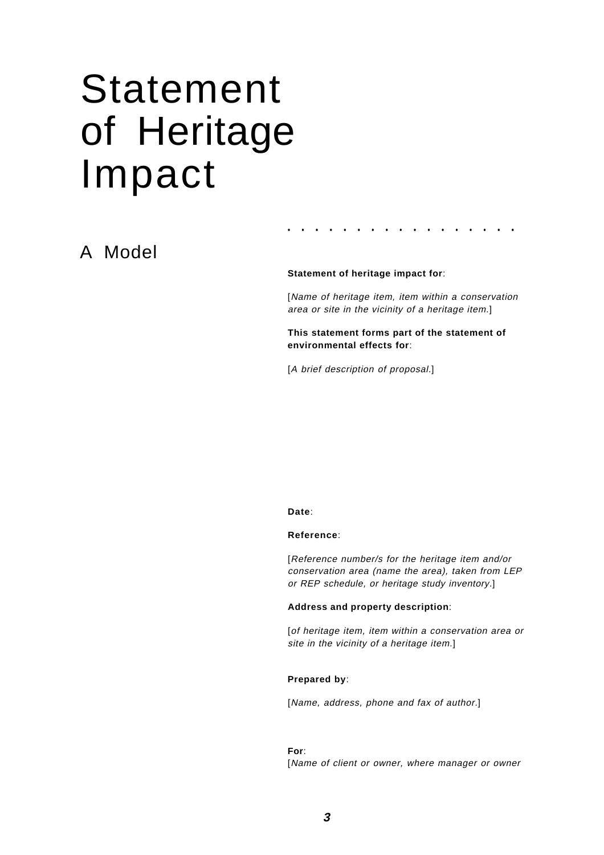# Statement of Heritage Impact

# A Model

#### **Statement of heritage impact for**:

[Name of heritage item, item within a conservation area or site in the vicinity of a heritage item.]

**• • • • • • • • • • • • • • • • •**

**This statement forms part of the statement of environmental effects for**:

[A brief description of proposal.]

#### **Date**:

#### **Reference**:

[Reference number/s for the heritage item and/or conservation area (name the area), taken from LEP or REP schedule, or heritage study inventory.]

#### **Address and property description**:

[of heritage item, item within a conservation area or site in the vicinity of a heritage item.]

#### **Prepared by**:

[Name, address, phone and fax of author.]

#### **For**:

[Name of client or owner, where manager or owner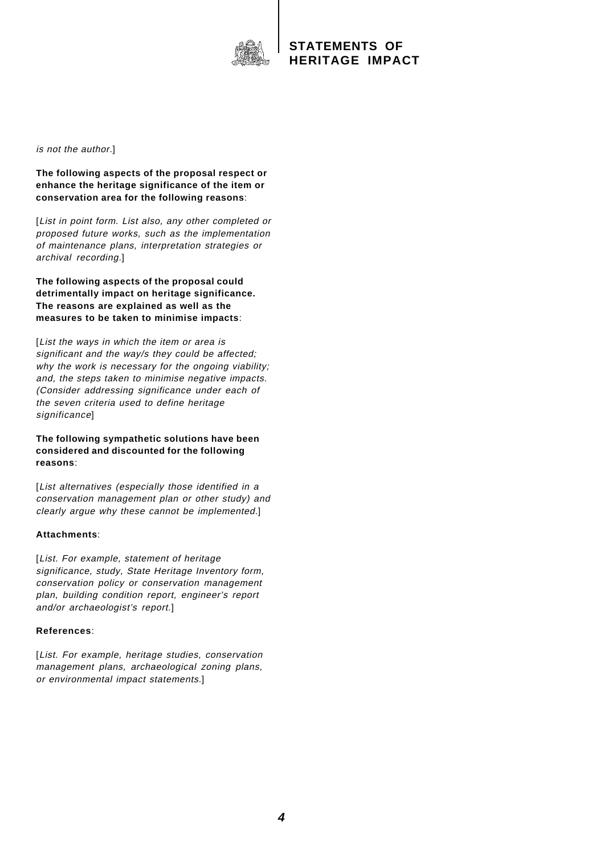

is not the author.]

**The following aspects of the proposal respect or enhance the heritage significance of the item or conservation area for the following reasons**:

[List in point form. List also, any other completed or proposed future works, such as the implementation of maintenance plans, interpretation strategies or archival recording.]

**The following aspects of the proposal could detrimentally impact on heritage significance. The reasons are explained as well as the measures to be taken to minimise impacts**:

[List the ways in which the item or area is significant and the way/s they could be affected; why the work is necessary for the ongoing viability; and, the steps taken to minimise negative impacts. (Consider addressing significance under each of the seven criteria used to define heritage significance]

**The following sympathetic solutions have been considered and discounted for the following reasons**:

[List alternatives (especially those identified in a conservation management plan or other study) and clearly argue why these cannot be implemented.]

#### **Attachments**:

[List. For example, statement of heritage significance, study, State Heritage Inventory form, conservation policy or conservation management plan, building condition report, engineer's report and/or archaeologist's report.]

#### **References**:

[List. For example, heritage studies, conservation management plans, archaeological zoning plans, or environmental impact statements.]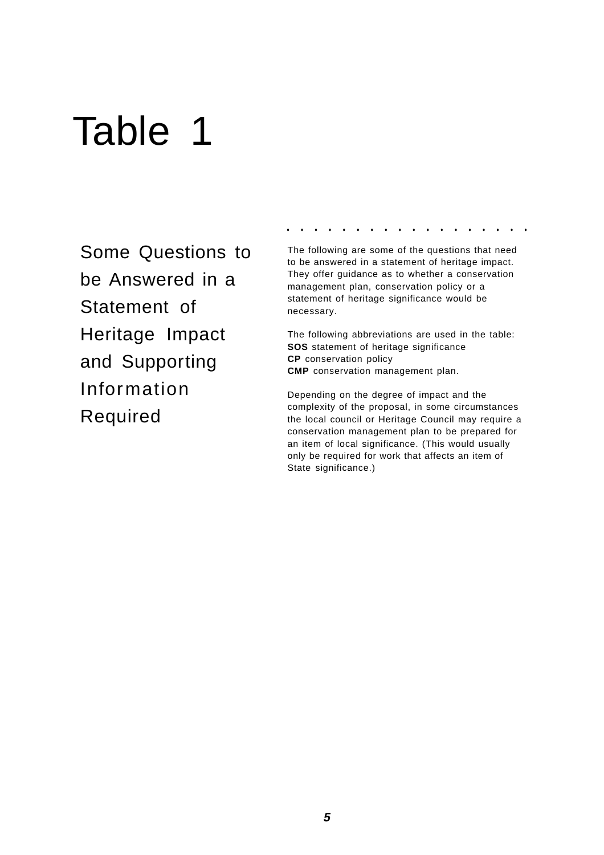# Table 1

Some Questions to be Answered in a Statement of Heritage Impact and Supporting Information Required

**• • • • • • • • • • • • • • • • • •**

The following are some of the questions that need to be answered in a statement of heritage impact. They offer guidance as to whether a conservation management plan, conservation policy or a statement of heritage significance would be necessary.

The following abbreviations are used in the table: **SOS** statement of heritage significance **CP** conservation policy **CMP** conservation management plan.

Depending on the degree of impact and the complexity of the proposal, in some circumstances the local council or Heritage Council may require a conservation management plan to be prepared for an item of local significance. (This would usually only be required for work that affects an item of State significance.)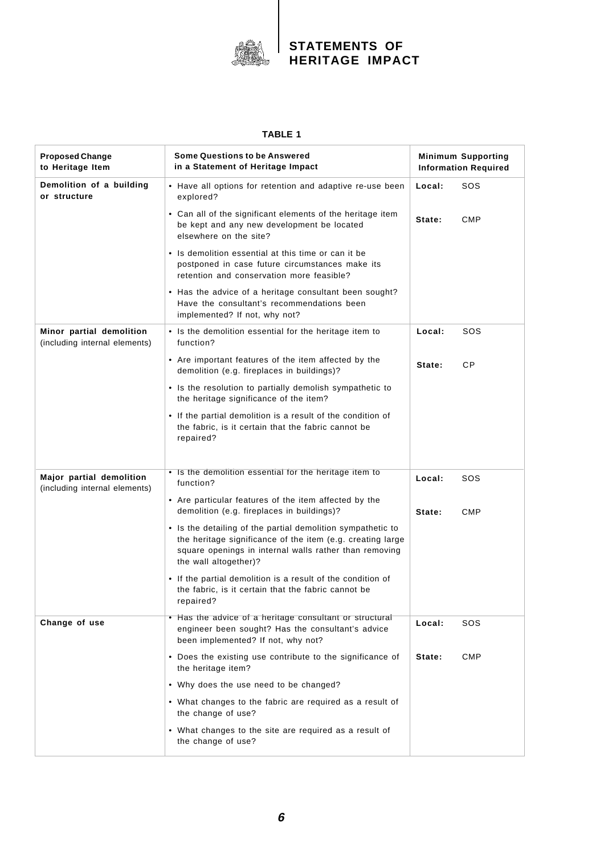

#### **TABLE 1**

| <b>Proposed Change</b><br>to Heritage Item                | <b>Some Questions to be Answered</b><br>in a Statement of Heritage Impact                                                                                                                                    | <b>Minimum Supporting</b><br><b>Information Required</b> |           |
|-----------------------------------------------------------|--------------------------------------------------------------------------------------------------------------------------------------------------------------------------------------------------------------|----------------------------------------------------------|-----------|
| Demolition of a building<br>or structure                  | • Have all options for retention and adaptive re-use been<br>explored?                                                                                                                                       | Local:                                                   | sos       |
|                                                           | • Can all of the significant elements of the heritage item<br>be kept and any new development be located<br>elsewhere on the site?                                                                           | State:                                                   | CMP       |
|                                                           | • Is demolition essential at this time or can it be<br>postponed in case future circumstances make its<br>retention and conservation more feasible?                                                          |                                                          |           |
|                                                           | • Has the advice of a heritage consultant been sought?<br>Have the consultant's recommendations been<br>implemented? If not, why not?                                                                        |                                                          |           |
| Minor partial demolition<br>(including internal elements) | • Is the demolition essential for the heritage item to<br>function?                                                                                                                                          | Local:                                                   | sos       |
|                                                           | • Are important features of the item affected by the<br>demolition (e.g. fireplaces in buildings)?                                                                                                           | State:                                                   | <b>CP</b> |
|                                                           | • Is the resolution to partially demolish sympathetic to<br>the heritage significance of the item?                                                                                                           |                                                          |           |
|                                                           | • If the partial demolition is a result of the condition of<br>the fabric, is it certain that the fabric cannot be<br>repaired?                                                                              |                                                          |           |
| Major partial demolition<br>(including internal elements) | • Is the demolition essential for the heritage item to<br>function?                                                                                                                                          | Local:                                                   | sos       |
|                                                           | • Are particular features of the item affected by the<br>demolition (e.g. fireplaces in buildings)?                                                                                                          | State:                                                   | CMP       |
|                                                           | • Is the detailing of the partial demolition sympathetic to<br>the heritage significance of the item (e.g. creating large<br>square openings in internal walls rather than removing<br>the wall altogether)? |                                                          |           |
|                                                           | • If the partial demolition is a result of the condition of<br>the fabric, is it certain that the fabric cannot be<br>repaired?                                                                              |                                                          |           |
| Change of use                                             | • Has the advice of a heritage consultant or structural<br>engineer been sought? Has the consultant's advice<br>been implemented? If not, why not?                                                           | Local:                                                   | SOS       |
|                                                           | • Does the existing use contribute to the significance of<br>the heritage item?                                                                                                                              | State:                                                   | CMP       |
|                                                           | • Why does the use need to be changed?                                                                                                                                                                       |                                                          |           |
|                                                           | • What changes to the fabric are required as a result of<br>the change of use?                                                                                                                               |                                                          |           |
|                                                           | • What changes to the site are required as a result of<br>the change of use?                                                                                                                                 |                                                          |           |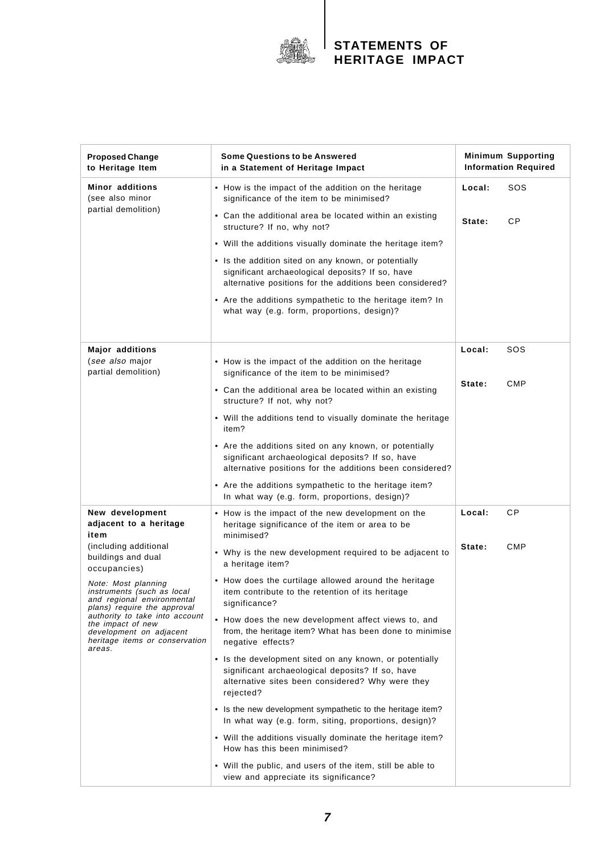

| <b>Proposed Change</b><br>to Heritage Item                                                                                                                                                                                                                                                                                                                       | <b>Some Questions to be Answered</b><br>in a Statement of Heritage Impact                                                                                                    | <b>Minimum Supporting</b><br><b>Information Required</b> |            |
|------------------------------------------------------------------------------------------------------------------------------------------------------------------------------------------------------------------------------------------------------------------------------------------------------------------------------------------------------------------|------------------------------------------------------------------------------------------------------------------------------------------------------------------------------|----------------------------------------------------------|------------|
| <b>Minor additions</b><br>(see also minor<br>partial demolition)                                                                                                                                                                                                                                                                                                 | • How is the impact of the addition on the heritage<br>significance of the item to be minimised?                                                                             | Local:                                                   | sos        |
|                                                                                                                                                                                                                                                                                                                                                                  | • Can the additional area be located within an existing<br>structure? If no, why not?                                                                                        | State:                                                   | CP         |
|                                                                                                                                                                                                                                                                                                                                                                  | • Will the additions visually dominate the heritage item?                                                                                                                    |                                                          |            |
|                                                                                                                                                                                                                                                                                                                                                                  | • Is the addition sited on any known, or potentially<br>significant archaeological deposits? If so, have<br>alternative positions for the additions been considered?         |                                                          |            |
|                                                                                                                                                                                                                                                                                                                                                                  | • Are the additions sympathetic to the heritage item? In<br>what way (e.g. form, proportions, design)?                                                                       |                                                          |            |
| Major additions<br>(see also major                                                                                                                                                                                                                                                                                                                               | • How is the impact of the addition on the heritage                                                                                                                          | Local:                                                   | sos        |
| partial demolition)                                                                                                                                                                                                                                                                                                                                              | significance of the item to be minimised?                                                                                                                                    |                                                          |            |
|                                                                                                                                                                                                                                                                                                                                                                  | • Can the additional area be located within an existing<br>structure? If not, why not?                                                                                       | State:                                                   | <b>CMP</b> |
|                                                                                                                                                                                                                                                                                                                                                                  | • Will the additions tend to visually dominate the heritage<br>item?                                                                                                         |                                                          |            |
|                                                                                                                                                                                                                                                                                                                                                                  | • Are the additions sited on any known, or potentially<br>significant archaeological deposits? If so, have<br>alternative positions for the additions been considered?       |                                                          |            |
|                                                                                                                                                                                                                                                                                                                                                                  | • Are the additions sympathetic to the heritage item?<br>In what way (e.g. form, proportions, design)?                                                                       |                                                          |            |
| New development<br>adjacent to a heritage<br>item<br>(including additional<br>buildings and dual<br>occupancies)<br>Note: Most planning<br>instruments (such as local<br>and regional environmental<br>plans) require the approval<br>authority to take into account<br>the impact of new<br>development on adjacent<br>heritage items or conservation<br>areas. | • How is the impact of the new development on the<br>heritage significance of the item or area to be<br>minimised?                                                           | Local:                                                   | СP         |
|                                                                                                                                                                                                                                                                                                                                                                  | • Why is the new development required to be adjacent to<br>a heritage item?                                                                                                  | State:                                                   | <b>CMP</b> |
|                                                                                                                                                                                                                                                                                                                                                                  | • How does the curtilage allowed around the heritage<br>item contribute to the retention of its heritage<br>significance?                                                    |                                                          |            |
|                                                                                                                                                                                                                                                                                                                                                                  | • How does the new development affect views to, and<br>from, the heritage item? What has been done to minimise<br>negative effects?                                          |                                                          |            |
|                                                                                                                                                                                                                                                                                                                                                                  | • Is the development sited on any known, or potentially<br>significant archaeological deposits? If so, have<br>alternative sites been considered? Why were they<br>rejected? |                                                          |            |
|                                                                                                                                                                                                                                                                                                                                                                  | • Is the new development sympathetic to the heritage item?<br>In what way (e.g. form, siting, proportions, design)?                                                          |                                                          |            |
|                                                                                                                                                                                                                                                                                                                                                                  | • Will the additions visually dominate the heritage item?<br>How has this been minimised?                                                                                    |                                                          |            |
|                                                                                                                                                                                                                                                                                                                                                                  | • Will the public, and users of the item, still be able to<br>view and appreciate its significance?                                                                          |                                                          |            |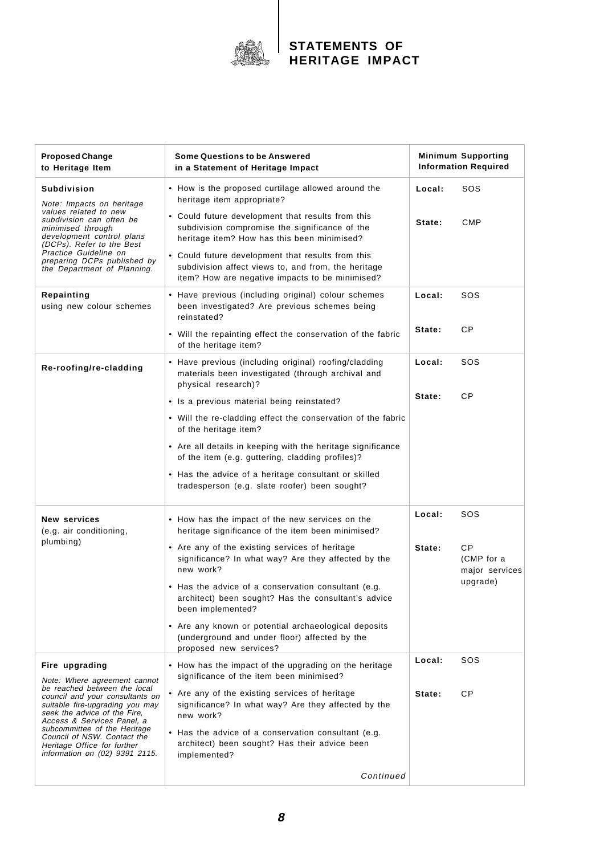

| <b>Proposed Change</b><br>to Heritage Item                                                                                                                                                                                                                                                       | <b>Some Questions to be Answered</b><br>in a Statement of Heritage Impact                                                                                                                                                                                                                                         | <b>Minimum Supporting</b><br><b>Information Required</b> |                                    |
|--------------------------------------------------------------------------------------------------------------------------------------------------------------------------------------------------------------------------------------------------------------------------------------------------|-------------------------------------------------------------------------------------------------------------------------------------------------------------------------------------------------------------------------------------------------------------------------------------------------------------------|----------------------------------------------------------|------------------------------------|
| <b>Subdivision</b>                                                                                                                                                                                                                                                                               | • How is the proposed curtilage allowed around the<br>heritage item appropriate?                                                                                                                                                                                                                                  | Local:                                                   | sos                                |
| Note: Impacts on heritage<br>values related to new<br>subdivision can often be<br>minimised through<br>development control plans<br>(DCPs). Refer to the Best<br>Practice Guideline on<br>preparing DCPs published by<br>the Department of Planning.                                             | • Could future development that results from this<br>subdivision compromise the significance of the<br>heritage item? How has this been minimised?<br>• Could future development that results from this<br>subdivision affect views to, and from, the heritage<br>item? How are negative impacts to be minimised? | State:                                                   | <b>CMP</b>                         |
| Repainting<br>using new colour schemes                                                                                                                                                                                                                                                           | • Have previous (including original) colour schemes<br>been investigated? Are previous schemes being<br>reinstated?                                                                                                                                                                                               | Local:                                                   | SOS                                |
|                                                                                                                                                                                                                                                                                                  | • Will the repainting effect the conservation of the fabric<br>of the heritage item?                                                                                                                                                                                                                              | State:                                                   | CP                                 |
| Re-roofing/re-cladding                                                                                                                                                                                                                                                                           | • Have previous (including original) roofing/cladding<br>materials been investigated (through archival and<br>physical research)?                                                                                                                                                                                 | Local:                                                   | sos                                |
|                                                                                                                                                                                                                                                                                                  | • Is a previous material being reinstated?                                                                                                                                                                                                                                                                        | State:                                                   | CP                                 |
|                                                                                                                                                                                                                                                                                                  | • Will the re-cladding effect the conservation of the fabric<br>of the heritage item?                                                                                                                                                                                                                             |                                                          |                                    |
|                                                                                                                                                                                                                                                                                                  | • Are all details in keeping with the heritage significance<br>of the item (e.g. guttering, cladding profiles)?                                                                                                                                                                                                   |                                                          |                                    |
|                                                                                                                                                                                                                                                                                                  | • Has the advice of a heritage consultant or skilled<br>tradesperson (e.g. slate roofer) been sought?                                                                                                                                                                                                             |                                                          |                                    |
| <b>New services</b><br>(e.g. air conditioning,                                                                                                                                                                                                                                                   | • How has the impact of the new services on the<br>heritage significance of the item been minimised?                                                                                                                                                                                                              | Local:                                                   | sos                                |
| plumbing)                                                                                                                                                                                                                                                                                        | • Are any of the existing services of heritage<br>significance? In what way? Are they affected by the<br>new work?                                                                                                                                                                                                | State:                                                   | СP<br>(CMP for a<br>major services |
|                                                                                                                                                                                                                                                                                                  | • Has the advice of a conservation consultant (e.g.<br>architect) been sought? Has the consultant's advice<br>been implemented?                                                                                                                                                                                   |                                                          | upgrade)                           |
|                                                                                                                                                                                                                                                                                                  | • Are any known or potential archaeological deposits<br>(underground and under floor) affected by the<br>proposed new services?                                                                                                                                                                                   |                                                          |                                    |
| Fire upgrading<br>Note: Where agreement cannot                                                                                                                                                                                                                                                   | • How has the impact of the upgrading on the heritage<br>significance of the item been minimised?                                                                                                                                                                                                                 | Local:                                                   | sos                                |
| be reached between the local<br>council and your consultants on<br>suitable fire-upgrading you may<br>seek the advice of the Fire,<br>Access & Services Panel, a<br>subcommittee of the Heritage<br>Council of NSW. Contact the<br>Heritage Office for further<br>information on (02) 9391 2115. | • Are any of the existing services of heritage<br>significance? In what way? Are they affected by the<br>new work?                                                                                                                                                                                                | State:                                                   | СP                                 |
|                                                                                                                                                                                                                                                                                                  | • Has the advice of a conservation consultant (e.g.<br>architect) been sought? Has their advice been<br>implemented?                                                                                                                                                                                              |                                                          |                                    |
|                                                                                                                                                                                                                                                                                                  | Continued                                                                                                                                                                                                                                                                                                         |                                                          |                                    |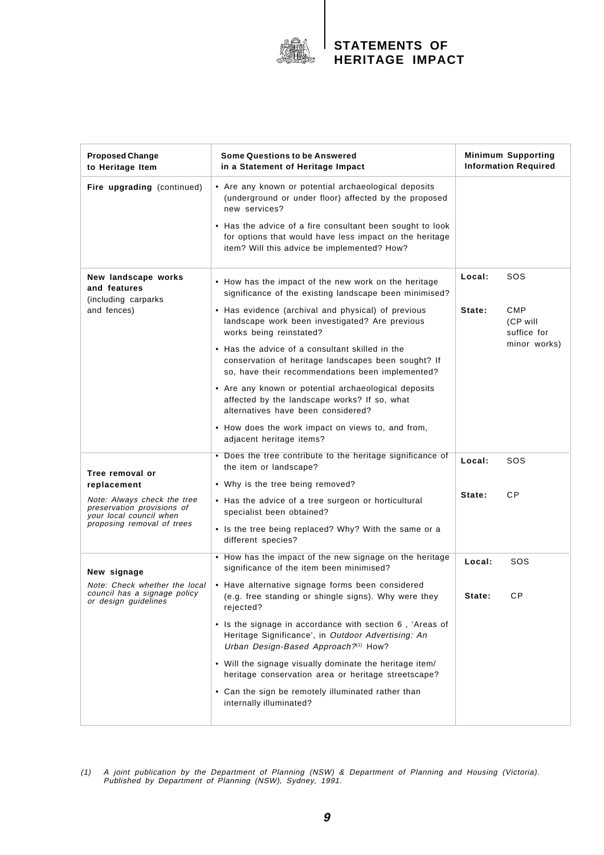

| <b>Proposed Change</b><br>to Heritage Item                                                                                                           | <b>Some Questions to be Answered</b><br>in a Statement of Heritage Impact                                                                                           | <b>Minimum Supporting</b><br><b>Information Required</b> |                                                       |
|------------------------------------------------------------------------------------------------------------------------------------------------------|---------------------------------------------------------------------------------------------------------------------------------------------------------------------|----------------------------------------------------------|-------------------------------------------------------|
| Fire upgrading (continued)                                                                                                                           | • Are any known or potential archaeological deposits<br>(underground or under floor) affected by the proposed<br>new services?                                      |                                                          |                                                       |
|                                                                                                                                                      | • Has the advice of a fire consultant been sought to look<br>for options that would have less impact on the heritage<br>item? Will this advice be implemented? How? |                                                          |                                                       |
| New landscape works<br>and features<br>(including carparks<br>and fences)                                                                            | • How has the impact of the new work on the heritage<br>significance of the existing landscape been minimised?                                                      | Local:                                                   | SOS                                                   |
|                                                                                                                                                      | • Has evidence (archival and physical) of previous<br>landscape work been investigated? Are previous<br>works being reinstated?                                     | State:                                                   | <b>CMP</b><br>(CP will<br>suffice for<br>minor works) |
|                                                                                                                                                      | • Has the advice of a consultant skilled in the<br>conservation of heritage landscapes been sought? If<br>so, have their recommendations been implemented?          |                                                          |                                                       |
|                                                                                                                                                      | • Are any known or potential archaeological deposits<br>affected by the landscape works? If so, what<br>alternatives have been considered?                          |                                                          |                                                       |
|                                                                                                                                                      | • How does the work impact on views to, and from,<br>adjacent heritage items?                                                                                       |                                                          |                                                       |
| Tree removal or<br>replacement<br>Note: Always check the tree<br>preservation provisions of<br>your local council when<br>proposing removal of trees | • Does the tree contribute to the heritage significance of<br>the item or landscape?                                                                                | Local:<br>State:                                         | sos                                                   |
|                                                                                                                                                      | • Why is the tree being removed?<br>• Has the advice of a tree surgeon or horticultural<br>specialist been obtained?                                                |                                                          | <b>CP</b>                                             |
|                                                                                                                                                      | • Is the tree being replaced? Why? With the same or a<br>different species?                                                                                         |                                                          |                                                       |
| New signage<br>Note: Check whether the local<br>council has a signage policy<br>or design guidelines                                                 | • How has the impact of the new signage on the heritage<br>significance of the item been minimised?                                                                 | Local:                                                   | sos                                                   |
|                                                                                                                                                      | • Have alternative signage forms been considered<br>(e.g. free standing or shingle signs). Why were they<br>rejected?                                               | State:                                                   | <b>CP</b>                                             |
|                                                                                                                                                      | • Is the signage in accordance with section 6, 'Areas of<br>Heritage Significance', in Outdoor Advertising: An<br>Urban Design-Based Approach?(1) How?              |                                                          |                                                       |
|                                                                                                                                                      | • Will the signage visually dominate the heritage item/<br>heritage conservation area or heritage streetscape?                                                      |                                                          |                                                       |
|                                                                                                                                                      | • Can the sign be remotely illuminated rather than<br>internally illuminated?                                                                                       |                                                          |                                                       |

(1) A joint publication by the Department of Planning (NSW) & Department of Planning and Housing (Victoria). Published by Department of Planning (NSW), Sydney, 1991.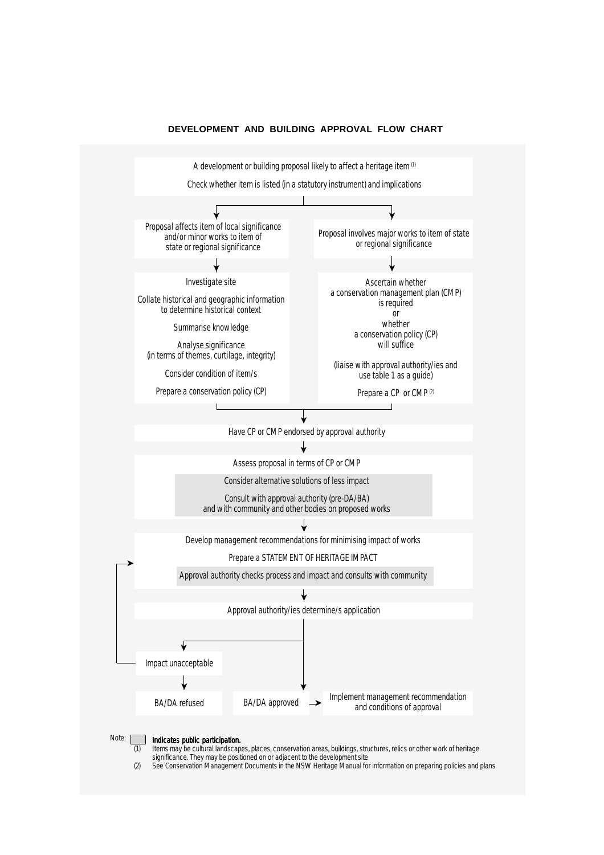

#### **DEVELOPMENT AND BUILDING APPROVAL FLOW CHART**

*significance. They may be positioned on or adjacent to the development site (2) See* Conservation Management Documents *in the NSW Heritage Manual for information on preparing policies and plans*